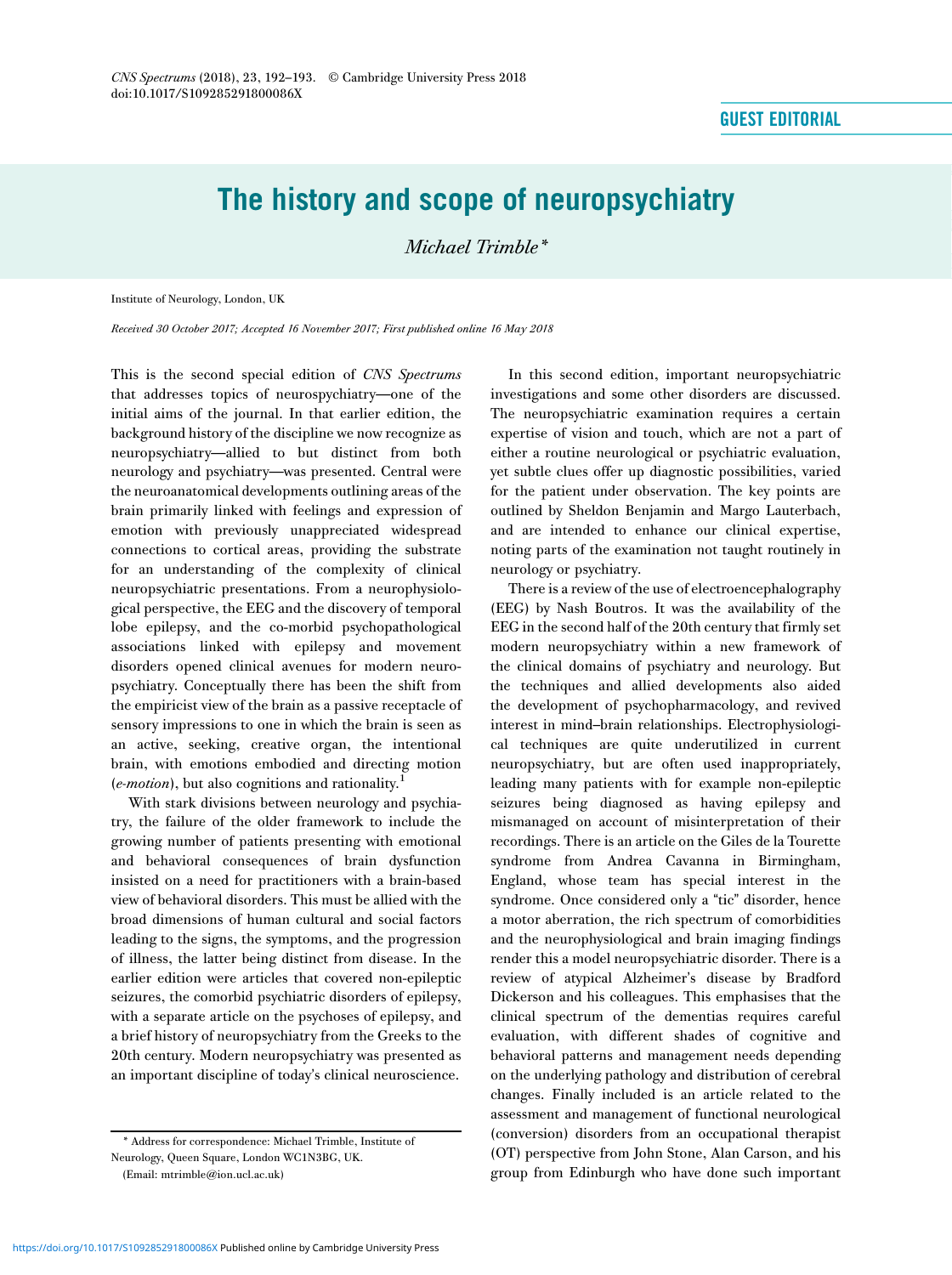## The history and scope of neuropsychiatry

Michael Trimble\*

Institute of Neurology, London, UK

Received 30 October 2017; Accepted 16 November 2017; First published online 16 May 2018

This is the second special edition of CNS Spectrums that addresses topics of neurospychiatry—one of the initial aims of the journal. In that earlier edition, the background history of the discipline we now recognize as neuropsychiatry—allied to but distinct from both neurology and psychiatry—was presented. Central were the neuroanatomical developments outlining areas of the brain primarily linked with feelings and expression of emotion with previously unappreciated widespread connections to cortical areas, providing the substrate for an understanding of the complexity of clinical neuropsychiatric presentations. From a neurophysiological perspective, the EEG and the discovery of temporal lobe epilepsy, and the co-morbid psychopathological associations linked with epilepsy and movement disorders opened clinical avenues for modern neuropsychiatry. Conceptually there has been the shift from the empiricist view of the brain as a passive receptacle of sensory impressions to one in which the brain is seen as an active, seeking, creative organ, the intentional brain, with emotions embodied and directing motion  $(e$ *-motion*), but also cognitions and rationality.<sup>1</sup>

With stark divisions between neurology and psychiatry, the failure of the older framework to include the growing number of patients presenting with emotional and behavioral consequences of brain dysfunction insisted on a need for practitioners with a brain-based view of behavioral disorders. This must be allied with the broad dimensions of human cultural and social factors leading to the signs, the symptoms, and the progression of illness, the latter being distinct from disease. In the earlier edition were articles that covered non-epileptic seizures, the comorbid psychiatric disorders of epilepsy, with a separate article on the psychoses of epilepsy, and a brief history of neuropsychiatry from the Greeks to the 20th century. Modern neuropsychiatry was presented as an important discipline of today's clinical neuroscience.

In this second edition, important neuropsychiatric investigations and some other disorders are discussed. The neuropsychiatric examination requires a certain expertise of vision and touch, which are not a part of either a routine neurological or psychiatric evaluation, yet subtle clues offer up diagnostic possibilities, varied for the patient under observation. The key points are outlined by Sheldon Benjamin and Margo Lauterbach, and are intended to enhance our clinical expertise, noting parts of the examination not taught routinely in neurology or psychiatry.

There is a review of the use of electroencephalography (EEG) by Nash Boutros. It was the availability of the EEG in the second half of the 20th century that firmly set modern neuropsychiatry within a new framework of the clinical domains of psychiatry and neurology. But the techniques and allied developments also aided the development of psychopharmacology, and revived interest in mind–brain relationships. Electrophysiological techniques are quite underutilized in current neuropsychiatry, but are often used inappropriately, leading many patients with for example non-epileptic seizures being diagnosed as having epilepsy and mismanaged on account of misinterpretation of their recordings. There is an article on the Giles de la Tourette syndrome from Andrea Cavanna in Birmingham, England, whose team has special interest in the syndrome. Once considered only a "tic" disorder, hence a motor aberration, the rich spectrum of comorbidities and the neurophysiological and brain imaging findings render this a model neuropsychiatric disorder. There is a review of atypical Alzheimer's disease by Bradford Dickerson and his colleagues. This emphasises that the clinical spectrum of the dementias requires careful evaluation, with different shades of cognitive and behavioral patterns and management needs depending on the underlying pathology and distribution of cerebral changes. Finally included is an article related to the assessment and management of functional neurological (conversion) disorders from an occupational therapist (OT) perspective from John Stone, Alan Carson, and his group from Edinburgh who have done such important

<sup>\*</sup> Address for correspondence: Michael Trimble, Institute of Neurology, Queen Square, London WC1N3BG, UK.

<sup>(</sup>Email: [mtrimble@ion.ucl.ac.uk](mailto:mtrimble@ion.ucl.ac.uk))